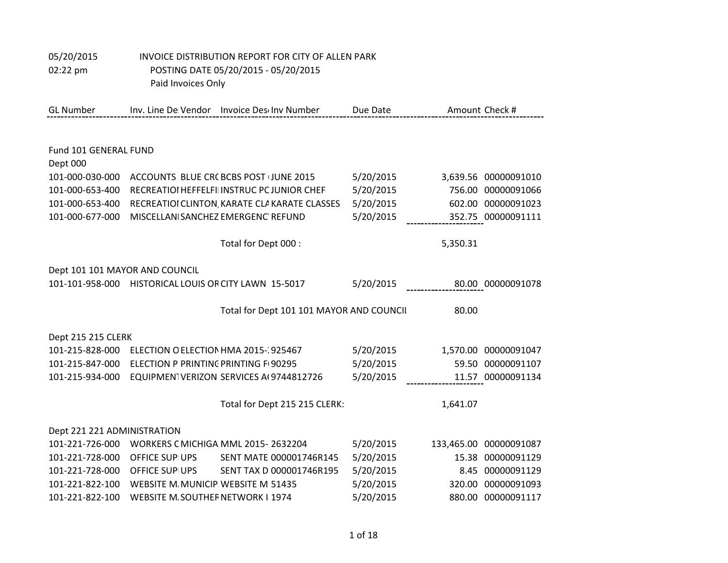## 05/20/2015 INVOICE DISTRIBUTION REPORT FOR CITY OF ALLEN PARK 02:22 pm POSTING DATE 05/20/2015 - 05/20/2015

Paid Invoices Only

| <b>GL Number</b>               |                                                       | Inv. Line De Vendor Invoice Deschov Number    | Due Date  |          | Amount Check #         |
|--------------------------------|-------------------------------------------------------|-----------------------------------------------|-----------|----------|------------------------|
|                                |                                                       |                                               |           |          |                        |
| Fund 101 GENERAL FUND          |                                                       |                                               |           |          |                        |
| Dept 000                       |                                                       |                                               |           |          |                        |
| 101-000-030-000                |                                                       | ACCOUNTS BLUE CRC BCBS POST (JUNE 2015        | 5/20/2015 |          | 3,639.56 00000091010   |
| 101-000-653-400                |                                                       | RECREATIOI HEFFELFII INSTRUC PC JUNIOR CHEF   | 5/20/2015 |          | 756.00 00000091066     |
| 101-000-653-400                |                                                       | RECREATIOI CLINTON, KARATE CLA KARATE CLASSES | 5/20/2015 |          | 602.00 00000091023     |
| 101-000-677-000                |                                                       | MISCELLANI SANCHEZ EMERGENC' REFUND           | 5/20/2015 |          | 352.75 00000091111     |
|                                |                                                       | Total for Dept 000 :                          |           | 5,350.31 |                        |
| Dept 101 101 MAYOR AND COUNCIL |                                                       |                                               |           |          |                        |
|                                | 101-101-958-000 HISTORICAL LOUIS OR CITY LAWN 15-5017 |                                               | 5/20/2015 |          | 80.00 00000091078      |
|                                |                                                       | Total for Dept 101 101 MAYOR AND COUNCII      |           | 80.00    |                        |
| Dept 215 215 CLERK             |                                                       |                                               |           |          |                        |
| 101-215-828-000                |                                                       | ELECTION O ELECTION HMA 2015-1925467          | 5/20/2015 |          | 1,570.00 00000091047   |
| 101-215-847-000                | ELECTION P PRINTING PRINTING F 90295                  |                                               | 5/20/2015 |          | 59.50 00000091107      |
| 101-215-934-000                |                                                       | EQUIPMEN1VERIZON SERVICES A(9744812726        | 5/20/2015 |          | 11.57 00000091134      |
|                                |                                                       | Total for Dept 215 215 CLERK:                 |           | 1,641.07 |                        |
| Dept 221 221 ADMINISTRATION    |                                                       |                                               |           |          |                        |
| 101-221-726-000                |                                                       | WORKERS C MICHIGA MML 2015-2632204            | 5/20/2015 |          | 133,465.00 00000091087 |
| 101-221-728-000                | OFFICE SUP UPS                                        | SENT MATE 000001746R145                       | 5/20/2015 | 15.38    | 00000091129            |
| 101-221-728-000                | <b>OFFICE SUPIUPS</b>                                 | SENT TAX D 000001746R195                      | 5/20/2015 |          | 8.45 00000091129       |
| 101-221-822-100                | WEBSITE M. MUNICIP. WEBSITE M 51435                   |                                               | 5/20/2015 | 320.00   | 00000091093            |
| 101-221-822-100                | WEBSITE M. SOUTHER NETWORK I 1974                     |                                               | 5/20/2015 |          | 880.00 00000091117     |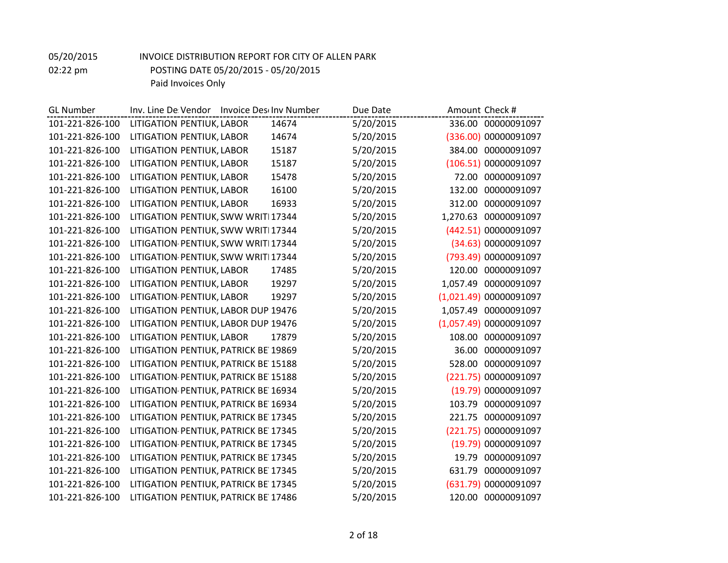| <b>GL Number</b> | Inv. Line De Vendor Invoice Descinv Number | Due Date  | Amount Check #          |
|------------------|--------------------------------------------|-----------|-------------------------|
| 101-221-826-100  | LITIGATION PENTIUK, LABOR<br>14674         | 5/20/2015 | 336.00 00000091097      |
| 101-221-826-100  | LITIGATION PENTIUK, LABOR<br>14674         | 5/20/2015 | (336.00) 00000091097    |
| 101-221-826-100  | LITIGATION PENTIUK, LABOR<br>15187         | 5/20/2015 | 384.00<br>00000091097   |
| 101-221-826-100  | LITIGATION PENTIUK, LABOR<br>15187         | 5/20/2015 | (106.51) 00000091097    |
| 101-221-826-100  | 15478<br>LITIGATION PENTIUK, LABOR         | 5/20/2015 | 72.00 00000091097       |
| 101-221-826-100  | LITIGATION PENTIUK, LABOR<br>16100         | 5/20/2015 | 132.00<br>00000091097   |
| 101-221-826-100  | LITIGATION PENTIUK, LABOR<br>16933         | 5/20/2015 | 312.00<br>00000091097   |
| 101-221-826-100  | LITIGATION PENTIUK, SWW WRITI 17344        | 5/20/2015 | 1,270.63 00000091097    |
| 101-221-826-100  | LITIGATION PENTIUK, SWW WRITI 17344        | 5/20/2015 | (442.51) 00000091097    |
| 101-221-826-100  | LITIGATION PENTIUK, SWW WRITI 17344        | 5/20/2015 | (34.63) 00000091097     |
| 101-221-826-100  | LITIGATION PENTIUK, SWW WRITI 17344        | 5/20/2015 | (793.49) 00000091097    |
| 101-221-826-100  | LITIGATION PENTIUK, LABOR<br>17485         | 5/20/2015 | 120.00 00000091097      |
| 101-221-826-100  | LITIGATION PENTIUK, LABOR<br>19297         | 5/20/2015 | 1,057.49 00000091097    |
| 101-221-826-100  | LITIGATION PENTIUK, LABOR<br>19297         | 5/20/2015 | (1,021.49) 00000091097  |
| 101-221-826-100  | LITIGATION PENTIUK, LABOR DUP 19476        | 5/20/2015 | 1,057.49<br>00000091097 |
| 101-221-826-100  | LITIGATION PENTIUK, LABOR DUP 19476        | 5/20/2015 | (1,057.49) 00000091097  |
| 101-221-826-100  | LITIGATION PENTIUK, LABOR<br>17879         | 5/20/2015 | 108.00<br>00000091097   |
| 101-221-826-100  | LITIGATION PENTIUK, PATRICK BE 19869       | 5/20/2015 | 36.00<br>00000091097    |
| 101-221-826-100  | LITIGATION PENTIUK, PATRICK BE 15188       | 5/20/2015 | 528.00<br>00000091097   |
| 101-221-826-100  | LITIGATION PENTIUK, PATRICK BE 15188       | 5/20/2015 | (221.75) 00000091097    |
| 101-221-826-100  | LITIGATION PENTIUK, PATRICK BE 16934       | 5/20/2015 | (19.79) 00000091097     |
| 101-221-826-100  | LITIGATION PENTIUK, PATRICK BE 16934       | 5/20/2015 | 103.79<br>00000091097   |
| 101-221-826-100  | LITIGATION PENTIUK, PATRICK BE 17345       | 5/20/2015 | 221.75<br>00000091097   |
| 101-221-826-100  | LITIGATION PENTIUK, PATRICK BE 17345       | 5/20/2015 | (221.75) 00000091097    |
| 101-221-826-100  | LITIGATION PENTIUK, PATRICK BE 17345       | 5/20/2015 | (19.79) 00000091097     |
| 101-221-826-100  | LITIGATION PENTIUK, PATRICK BE 17345       | 5/20/2015 | 19.79<br>00000091097    |
| 101-221-826-100  | LITIGATION PENTIUK, PATRICK BE 17345       | 5/20/2015 | 00000091097<br>631.79   |
| 101-221-826-100  | LITIGATION PENTIUK, PATRICK BE 17345       | 5/20/2015 | (631.79) 00000091097    |
| 101-221-826-100  | LITIGATION PENTIUK, PATRICK BE 17486       | 5/20/2015 | 120.00 00000091097      |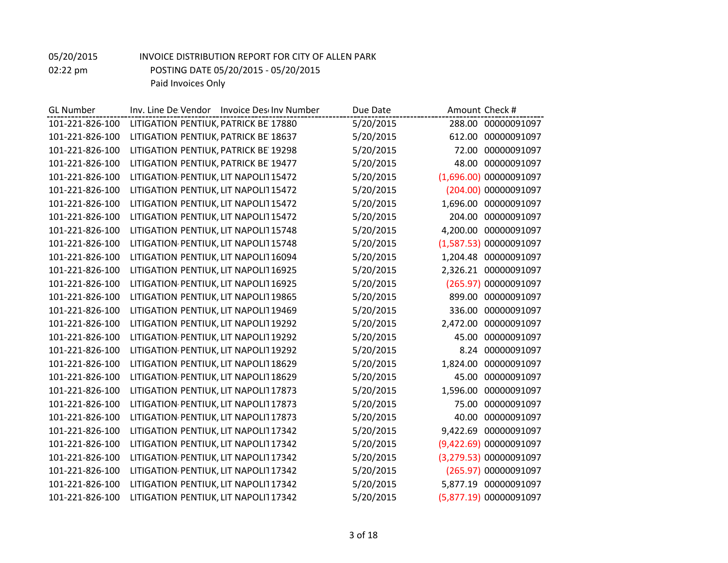| <b>GL Number</b> | Inv. Line De Vendor Invoice Deschov Number | Due Date  | Amount Check #          |
|------------------|--------------------------------------------|-----------|-------------------------|
| 101-221-826-100  | LITIGATION PENTIUK, PATRICK BE 17880       | 5/20/2015 | 288.00 00000091097      |
| 101-221-826-100  | LITIGATION PENTIUK, PATRICK BE 18637       | 5/20/2015 | 00000091097<br>612.00   |
| 101-221-826-100  | LITIGATION PENTIUK, PATRICK BE 19298       | 5/20/2015 | 00000091097<br>72.00    |
| 101-221-826-100  | LITIGATION PENTIUK, PATRICK BE 19477       | 5/20/2015 | 00000091097<br>48.00    |
| 101-221-826-100  | LITIGATION PENTIUK, LIT NAPOLIT 15472      | 5/20/2015 | (1,696.00) 00000091097  |
| 101-221-826-100  | LITIGATION PENTIUK, LIT NAPOLIT 15472      | 5/20/2015 | (204.00) 00000091097    |
| 101-221-826-100  | LITIGATION PENTIUK, LIT NAPOLIT 15472      | 5/20/2015 | 1,696.00<br>00000091097 |
| 101-221-826-100  | LITIGATION PENTIUK, LIT NAPOLIT 15472      | 5/20/2015 | 00000091097<br>204.00   |
| 101-221-826-100  | LITIGATION PENTIUK, LIT NAPOLIT 15748      | 5/20/2015 | 4,200.00 00000091097    |
| 101-221-826-100  | LITIGATION PENTIUK, LIT NAPOLIT 15748      | 5/20/2015 | (1,587.53) 00000091097  |
| 101-221-826-100  | LITIGATION PENTIUK, LIT NAPOLIT 16094      | 5/20/2015 | 1,204.48<br>00000091097 |
| 101-221-826-100  | LITIGATION PENTIUK, LIT NAPOLIT 16925      | 5/20/2015 | 2,326.21 00000091097    |
| 101-221-826-100  | LITIGATION PENTIUK, LIT NAPOLIT 16925      | 5/20/2015 | (265.97) 00000091097    |
| 101-221-826-100  | LITIGATION PENTIUK, LIT NAPOLIT 19865      | 5/20/2015 | 00000091097<br>899.00   |
| 101-221-826-100  | LITIGATION PENTIUK, LIT NAPOLIT 19469      | 5/20/2015 | 00000091097<br>336.00   |
| 101-221-826-100  | LITIGATION PENTIUK, LIT NAPOLIT 19292      | 5/20/2015 | 2,472.00 00000091097    |
| 101-221-826-100  | LITIGATION PENTIUK, LIT NAPOLIT 19292      | 5/20/2015 | 45.00<br>00000091097    |
| 101-221-826-100  | LITIGATION PENTIUK, LIT NAPOLIT 19292      | 5/20/2015 | 00000091097<br>8.24     |
| 101-221-826-100  | LITIGATION PENTIUK, LIT NAPOLIT 18629      | 5/20/2015 | 00000091097<br>1,824.00 |
| 101-221-826-100  | LITIGATION PENTIUK, LIT NAPOLIT 18629      | 5/20/2015 | 00000091097<br>45.00    |
| 101-221-826-100  | LITIGATION PENTIUK, LIT NAPOLIT 17873      | 5/20/2015 | 00000091097<br>1,596.00 |
| 101-221-826-100  | LITIGATION PENTIUK, LIT NAPOLIT 17873      | 5/20/2015 | 00000091097<br>75.00    |
| 101-221-826-100  | LITIGATION PENTIUK, LIT NAPOLIT 17873      | 5/20/2015 | 00000091097<br>40.00    |
| 101-221-826-100  | LITIGATION PENTIUK, LIT NAPOLIT 17342      | 5/20/2015 | 9,422.69<br>00000091097 |
| 101-221-826-100  | LITIGATION PENTIUK, LIT NAPOLIT 17342      | 5/20/2015 | (9,422.69) 00000091097  |
| 101-221-826-100  | LITIGATION PENTIUK, LIT NAPOLIT 17342      | 5/20/2015 | (3,279.53) 00000091097  |
| 101-221-826-100  | LITIGATION PENTIUK, LIT NAPOLIT 17342      | 5/20/2015 | (265.97) 00000091097    |
| 101-221-826-100  | LITIGATION PENTIUK, LIT NAPOLIT 17342      | 5/20/2015 | 5,877.19 00000091097    |
| 101-221-826-100  | LITIGATION PENTIUK, LIT NAPOLIT 17342      | 5/20/2015 | (5,877.19) 00000091097  |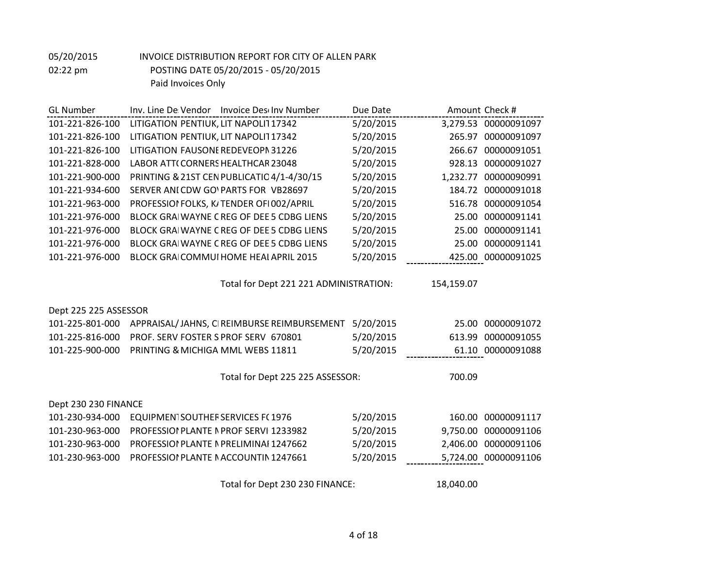| <b>GL Number</b>      | Inv. Line De Vendor Invoice Deschov Number | Due Date  | Amount Check #          |
|-----------------------|--------------------------------------------|-----------|-------------------------|
| 101-221-826-100       | LITIGATION PENTIUK, LIT NAPOLIT 17342      | 5/20/2015 | 3,279.53 00000091097    |
| 101-221-826-100       | LITIGATION PENTIUK, LIT NAPOLIT 17342      | 5/20/2015 | 265.97 00000091097      |
| 101-221-826-100       | LITIGATION FAUSONE REDEVEOPN 31226         | 5/20/2015 | 266.67<br>00000091051   |
| 101-221-828-000       | LABOR ATT(CORNERS HEALTHCAR 23048          | 5/20/2015 | 00000091027<br>928.13   |
| 101-221-900-000       | PRINTING & 21ST CEN PUBLICATIO 4/1-4/30/15 | 5/20/2015 | 1,232.77<br>00000090991 |
| 101-221-934-600       | SERVER ANI CDW GOVPARTS FOR VB28697        | 5/20/2015 | 184.72<br>00000091018   |
| 101-221-963-000       | PROFESSIOI FOLKS, K/TENDER OF1002/APRIL    | 5/20/2015 | 516.78 00000091054      |
| 101-221-976-000       | BLOCK GRAIWAYNE CREG OF DEE 5 CDBG LIENS   | 5/20/2015 | 00000091141<br>25.00    |
| 101-221-976-000       | BLOCK GRAIWAYNE CREG OF DEE 5 CDBG LIENS   | 5/20/2015 | 00000091141<br>25.00    |
| 101-221-976-000       | BLOCK GRAIWAYNE CREG OF DEE 5 CDBG LIENS   | 5/20/2015 | 25.00 00000091141       |
| 101-221-976-000       | BLOCK GRAICOMMUI HOME HEAI APRIL 2015      | 5/20/2015 | 425.00 00000091025      |
|                       |                                            |           |                         |
|                       | Total for Dept 221 221 ADMINISTRATION:     |           | 154,159.07              |
|                       |                                            |           |                         |
| Dept 225 225 ASSESSOR |                                            |           |                         |
| 101-225-801-000       | APPRAISAL/JAHNS, CIREIMBURSE REIMBURSEMENT | 5/20/2015 | 00000091072<br>25.00    |
| 101-225-816-000       | PROF. SERV FOSTER S PROF SERV 670801       | 5/20/2015 | 00000091055<br>613.99   |
| 101-225-900-000       | PRINTING & MICHIGA MML WEBS 11811          | 5/20/2015 | 61.10 00000091088       |
|                       |                                            |           |                         |
|                       | Total for Dept 225 225 ASSESSOR:           |           | 700.09                  |
| Dept 230 230 FINANCE  |                                            |           |                         |
| 101-230-934-000       |                                            |           | 00000091117             |
|                       | <b>EQUIPMENTSOUTHER SERVICES F(1976</b>    | 5/20/2015 | 160.00                  |
| 101-230-963-000       | PROFESSIOI PLANTE I PROF SERVI 1233982     | 5/20/2015 | 9,750.00<br>00000091106 |
| 101-230-963-000       | PROFESSIOI PLANTE IN PRELIMINAI 1247662    | 5/20/2015 | 2,406.00<br>00000091106 |
| 101-230-963-000       | PROFESSIOI PLANTE NACCOUNTIN 1247661       | 5/20/2015 | 5,724.00 00000091106    |
|                       | Total for Dept 230 230 FINANCE:            |           | 18,040.00               |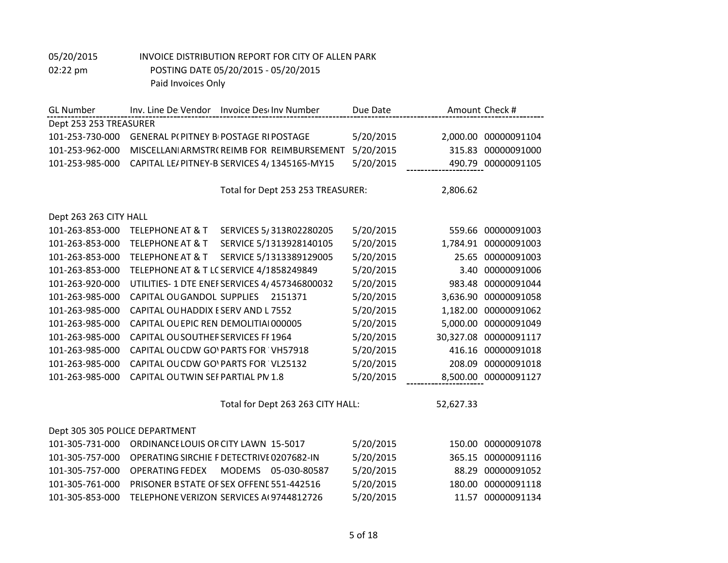| <b>GL Number</b>               | Inv. Line De Vendor Invoice Des Inv Number             | Due Date  | Amount Check #           |
|--------------------------------|--------------------------------------------------------|-----------|--------------------------|
| Dept 253 253 TREASURER         |                                                        |           |                          |
| 101-253-730-000                | <b>GENERAL P(PITNEY BI POSTAGE RI POSTAGE</b>          | 5/20/2015 | 2,000.00<br>00000091104  |
| 101-253-962-000                | MISCELLANIARMSTR(REIMB FOR REIMBURSEMENT               | 5/20/2015 | 315.83<br>00000091000    |
| 101-253-985-000                | CAPITAL LE/PITNEY-B SERVICES 4/1345165-MY15            | 5/20/2015 | 490.79 00000091105       |
|                                |                                                        |           |                          |
|                                | Total for Dept 253 253 TREASURER:                      |           | 2,806.62                 |
|                                |                                                        |           |                          |
| Dept 263 263 CITY HALL         |                                                        |           |                          |
| 101-263-853-000                | <b>TELEPHONE AT &amp; T</b><br>SERVICES 5/313R02280205 | 5/20/2015 | 559.66 00000091003       |
| 101-263-853-000                | SERVICE 5/1313928140105<br><b>TELEPHONE AT &amp; T</b> | 5/20/2015 | 1,784.91<br>00000091003  |
| 101-263-853-000                | <b>TELEPHONE AT &amp; T</b><br>SERVICE 5/1313389129005 | 5/20/2015 | 00000091003<br>25.65     |
| 101-263-853-000                | TELEPHONE AT & T LC SERVICE 4/1858249849               | 5/20/2015 | 00000091006<br>3.40      |
| 101-263-920-000                | UTILITIES-1 DTE ENEFSERVICES 4/457346800032            | 5/20/2015 | 983.48<br>00000091044    |
| 101-263-985-000                | CAPITAL OU GANDOL SUPPLIES<br>2151371                  | 5/20/2015 | 00000091058<br>3,636.90  |
| 101-263-985-000                | CAPITAL OU HADDIX ESERV AND L7552                      | 5/20/2015 | 1,182.00<br>00000091062  |
| 101-263-985-000                | CAPITAL OUEPIC REN DEMOLITIAI 000005                   | 5/20/2015 | 5,000.00<br>00000091049  |
| 101-263-985-000                | <b>CAPITAL OUSOUTHER SERVICES FF 1964</b>              | 5/20/2015 | 00000091117<br>30,327.08 |
| 101-263-985-000                | CAPITAL OUCDW GOVPARTS FOR VH57918                     | 5/20/2015 | 416.16<br>00000091018    |
| 101-263-985-000                | CAPITAL OUCDW GOVPARTS FOR VL25132                     | 5/20/2015 | 00000091018<br>208.09    |
| 101-263-985-000                | CAPITAL OUTWIN SEF PARTIAL PN 1.8                      | 5/20/2015 | 8,500.00 00000091127     |
|                                |                                                        |           |                          |
|                                | Total for Dept 263 263 CITY HALL:                      |           | 52,627.33                |
|                                |                                                        |           |                          |
| Dept 305 305 POLICE DEPARTMENT |                                                        |           |                          |
| 101-305-731-000                | <b>ORDINANCE LOUIS OR CITY LAWN 15-5017</b>            | 5/20/2015 | 150.00<br>00000091078    |
| 101-305-757-000                | OPERATING SIRCHIE F DETECTRIVE 0207682-IN              | 5/20/2015 | 365.15<br>00000091116    |
| 101-305-757-000                | <b>OPERATING FEDEX</b><br>MODEMS 05-030-80587          | 5/20/2015 | 00000091052<br>88.29     |
| 101-305-761-000                | PRISONER BSTATE OF SEX OFFENE 551-442516               | 5/20/2015 | 00000091118<br>180.00    |
| 101-305-853-000                | TELEPHONE VERIZON SERVICES A(9744812726                | 5/20/2015 | 00000091134<br>11.57     |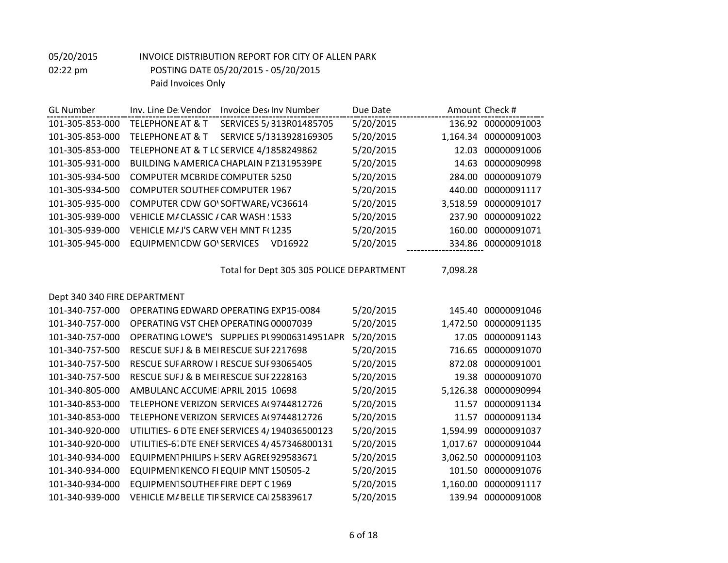| <b>GL Number</b>             | Inv. Line De Vendor<br>Invoice Descinv Number          | Due Date  | Amount Check #          |
|------------------------------|--------------------------------------------------------|-----------|-------------------------|
| 101-305-853-000              | <b>TELEPHONE AT &amp; T</b><br>SERVICES 5/313R01485705 | 5/20/2015 | 136.92 00000091003      |
| 101-305-853-000              | SERVICE 5/1313928169305<br><b>TELEPHONE AT &amp; T</b> | 5/20/2015 | 1,164.34 00000091003    |
| 101-305-853-000              | TELEPHONE AT & T LC SERVICE 4/1858249862               | 5/20/2015 | 12.03<br>00000091006    |
| 101-305-931-000              | <b>BUILDING NAMERICA CHAPLAIN PZ1319539PE</b>          | 5/20/2015 | 14.63<br>00000090998    |
| 101-305-934-500              | <b>COMPUTER MCBRIDE COMPUTER 5250</b>                  | 5/20/2015 | 284.00<br>00000091079   |
| 101-305-934-500              | <b>COMPUTER SOUTHER COMPUTER 1967</b>                  | 5/20/2015 | 00000091117<br>440.00   |
| 101-305-935-000              | COMPUTER CDW GO'SOFTWARE / VC36614                     | 5/20/2015 | 3,518.59<br>00000091017 |
| 101-305-939-000              | VEHICLE M/ CLASSIC / CAR WASH : 1533                   | 5/20/2015 | 237.90<br>00000091022   |
| 101-305-939-000              | <b>VEHICLE MAJ'S CARW VEH MNT F(1235)</b>              | 5/20/2015 | 00000091071<br>160.00   |
| 101-305-945-000              | <b>EQUIPMENTCDW GOVSERVICES</b><br>VD16922             | 5/20/2015 | 334.86 00000091018      |
|                              |                                                        |           |                         |
|                              |                                                        |           |                         |
|                              | Total for Dept 305 305 POLICE DEPARTMENT               |           | 7,098.28                |
|                              |                                                        |           |                         |
| Dept 340 340 FIRE DEPARTMENT |                                                        |           |                         |
| 101-340-757-000              | OPFRATING FDWARD OPFRATING FXP15-0084                  | 5/20/2015 | 145.40<br>00000091046   |
| 101-340-757-000              | OPERATING VST CHEN OPERATING 00007039                  | 5/20/2015 | 00000091135<br>1,472.50 |
| 101-340-757-000              | OPERATING LOWE'S SUPPLIES PL99006314951APR             | 5/20/2015 | 17.05<br>00000091143    |
| 101-340-757-500              | RESCUE SUFJ & B MEIRESCUE SUF 2217698                  | 5/20/2015 | 716.65<br>00000091070   |
| 101-340-757-500              | RESCUE SUF ARROW I RESCUE SUF 93065405                 | 5/20/2015 | 00000091001<br>872.08   |
| 101-340-757-500              | RESCUE SUFJ & B MEIRESCUE SUF 2228163                  | 5/20/2015 | 00000091070<br>19.38    |
| 101-340-805-000              | AMBULANC ACCUME APRIL 2015 10698                       | 5/20/2015 | 00000090994<br>5,126.38 |
| 101-340-853-000              | TELEPHONE VERIZON SERVICES A(9744812726                | 5/20/2015 | 00000091134<br>11.57    |

| LUL-340-853-UUU | TELEPHONE VERIZON SERVICES AL 9744812726      | 5/20/2015 | 11.57 UUUUUUY1134    |
|-----------------|-----------------------------------------------|-----------|----------------------|
| 101-340-853-000 | TELEPHONE VERIZON SERVICES A(9744812726       | 5/20/2015 | 11.57 00000091134    |
| 101-340-920-000 | UTILITIES- 6 DTE ENEF SERVICES 4/194036500123 | 5/20/2015 | 1,594.99 00000091037 |
| 101-340-920-000 | UTILITIES-67 DTE ENEF SERVICES 4/457346800131 | 5/20/2015 | 1,017.67 00000091044 |
| 101-340-934-000 | EQUIPMEN1PHILIPS HSERV AGREE 929583671        | 5/20/2015 | 3,062.50 00000091103 |
| 101-340-934-000 | EQUIPMEN1KENCO FI EQUIP MNT 150505-2          | 5/20/2015 | 101.50 00000091076   |
| 101-340-934-000 | EQUIPMENTSOUTHER FIRE DEPT C 1969             | 5/20/2015 | 1,160.00 00000091117 |
| 101-340-939-000 | VEHICLE M/BELLE TIRSERVICE CAI 25839617       | 5/20/2015 | 139.94 00000091008   |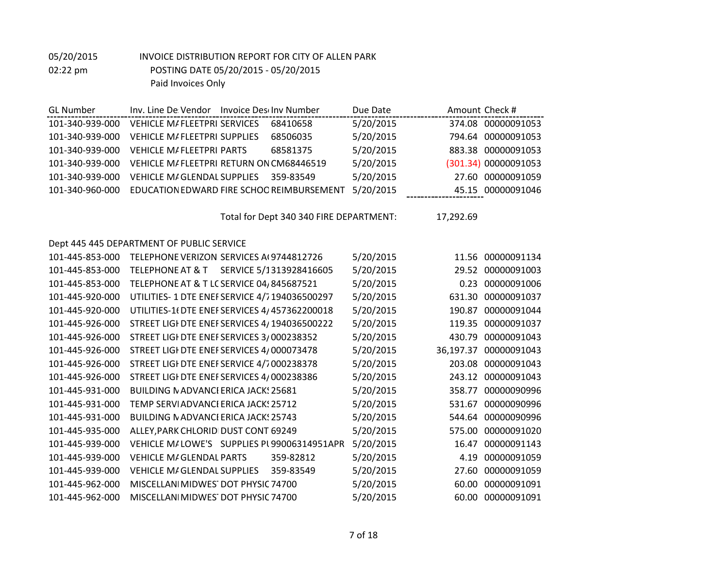| <b>GL Number</b> | Inv. Line De Vendor                       | <b>Invoice Desciny Number</b> | Due Date  | Amount Check # |                      |
|------------------|-------------------------------------------|-------------------------------|-----------|----------------|----------------------|
| 101-340-939-000  | <b>VEHICLE M/FLEETPRI SERVICES</b>        | 68410658                      | 5/20/2015 |                | 374.08 00000091053   |
| 101-340-939-000  | <b>VEHICLE M/FLEETPRI SUPPLIES</b>        | 68506035                      | 5/20/2015 |                | 794.64 00000091053   |
| 101-340-939-000  | <b>VEHICLE M/FLEETPRI PARTS</b>           | 68581375                      | 5/20/2015 |                | 883.38 00000091053   |
| 101-340-939-000  | VEHICLE M/FLEETPRI RETURN ON CM68446519   |                               | 5/20/2015 |                | (301.34) 00000091053 |
| 101-340-939-000  | <b>VEHICLE M/GLENDAL SUPPLIES</b>         | 359-83549                     | 5/20/2015 |                | 27.60 00000091059    |
| 101-340-960-000  | EDUCATION EDWARD FIRE SCHOO REIMBURSEMENT |                               | 5/20/2015 |                | 45.15 00000091046    |

Total for Dept 340 340 FIRE DEPARTMENT: 17,292.69

#### Dept 445 445 DEPARTMENT OF PUBLIC SERVICE

| 101-445-853-000 | TELEPHONE VERIZON SERVICES A(9744812726                | 5/20/2015 |           | 11.56 00000091134 |
|-----------------|--------------------------------------------------------|-----------|-----------|-------------------|
| 101-445-853-000 | SERVICE 5/1313928416605<br><b>TELEPHONE AT &amp; T</b> | 5/20/2015 | 29.52     | 00000091003       |
| 101-445-853-000 | TELEPHONE AT & T LC SERVICE 04, 845687521              | 5/20/2015 | 0.23      | 00000091006       |
| 101-445-920-000 | UTILITIES-1 DTE ENEFSERVICE 4/7194036500297            | 5/20/2015 | 631.30    | 00000091037       |
| 101-445-920-000 | UTILITIES-1(DTE ENEFSERVICES 4/457362200018            | 5/20/2015 | 190.87    | 00000091044       |
| 101-445-926-000 | STREET LIGI DTE ENEF SERVICES 4/194036500222           | 5/20/2015 | 119.35    | 00000091037       |
| 101-445-926-000 | STREET LIGI DTE ENEF SERVICES 3/000238352              | 5/20/2015 | 430.79    | 00000091043       |
| 101-445-926-000 | STREET LIGI DTE ENEI SERVICES 4/000073478              | 5/20/2015 | 36,197.37 | 00000091043       |
| 101-445-926-000 | STREET LIGI DTE ENEI SERVICE 4/7000238378              | 5/20/2015 | 203.08    | 00000091043       |
| 101-445-926-000 | STREET LIGI DTE ENEF SERVICES 4/000238386              | 5/20/2015 | 243.12    | 00000091043       |
| 101-445-931-000 | <b>BUILDING NADVANCI ERICA JACK: 25681</b>             | 5/20/2015 | 358.77    | 00000090996       |
| 101-445-931-000 | TEMP SERVIADVANCI ERICA JACK! 25712                    | 5/20/2015 | 531.67    | 00000090996       |
| 101-445-931-000 | <b>BUILDING NADVANCI ERICA JACKS 25743</b>             | 5/20/2015 | 544.64    | 00000090996       |
| 101-445-935-000 | ALLEY, PARK CHLORIDI DUST CONT 69249                   | 5/20/2015 | 575.00    | 00000091020       |
| 101-445-939-000 | VEHICLE M/LOWE'S SUPPLIES PL99006314951APR             | 5/20/2015 | 16.47     | 00000091143       |
| 101-445-939-000 | <b>VEHICLE M/GLENDAL PARTS</b><br>359-82812            | 5/20/2015 | 4.19      | 00000091059       |
| 101-445-939-000 | <b>VEHICLE M/ GLENDAL SUPPLIES</b><br>359-83549        | 5/20/2015 | 27.60     | 00000091059       |
| 101-445-962-000 | MISCELLANI MIDWEST DOT PHYSIC 74700                    | 5/20/2015 | 60.00     | 00000091091       |
| 101-445-962-000 | MISCELLANI MIDWEST DOT PHYSIC 74700                    | 5/20/2015 | 60.00     | 00000091091       |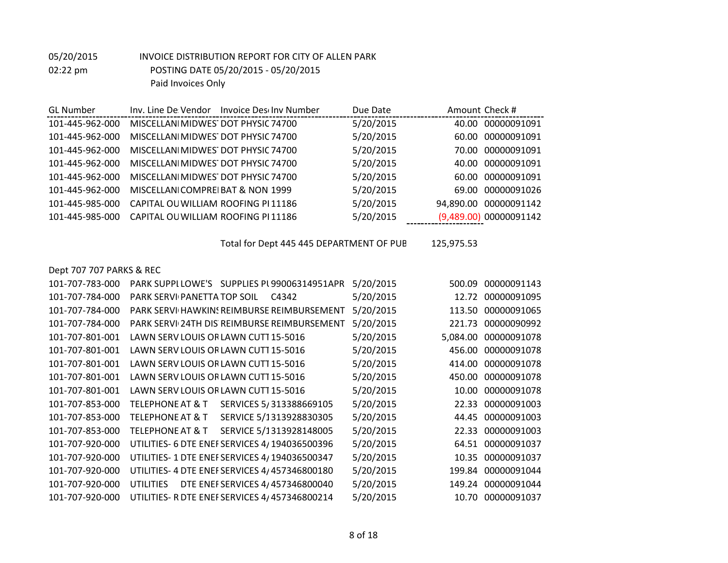| <b>GL</b> Number |                                    | Inv. Line De Vendor Invoice Desclny Number | Due Date  |           | Amount Check #         |
|------------------|------------------------------------|--------------------------------------------|-----------|-----------|------------------------|
| 101-445-962-000  | MISCELLANIMIDWES DOT PHYSIC 74700  |                                            | 5/20/2015 | 40.00     | 00000091091            |
| 101-445-962-000  | MISCELLANI MIDWES DOT PHYSIC 74700 |                                            | 5/20/2015 | 60.00     | 00000091091            |
| 101-445-962-000  | MISCELLANI MIDWES DOT PHYSIC 74700 |                                            | 5/20/2015 | 70.00     | 00000091091            |
| 101-445-962-000  | MISCELLANI MIDWES DOT PHYSIC 74700 |                                            | 5/20/2015 | 40.00     | 00000091091            |
| 101-445-962-000  | MISCELLANIMIDWES DOT PHYSIC 74700  |                                            | 5/20/2015 | 60.00     | 00000091091            |
| 101-445-962-000  | MISCELLANICOMPREIBAT & NON 1999    |                                            | 5/20/2015 | 69.00     | 00000091026            |
| 101-445-985-000  | CAPITAL OU WILLIAM ROOFING PI11186 |                                            | 5/20/2015 | 94,890.00 | 00000091142            |
| 101-445-985-000  | CAPITAL OU WILLIAM ROOFING PI11186 |                                            | 5/20/2015 |           | (9,489.00) 00000091142 |
|                  |                                    |                                            |           |           |                        |

Total for Dept 445 445 DEPARTMENT OF PUB 125,975.53

Dept 707 707 PARKS & REC

| 101-707-783-000 | PARK SUPPLLOWE'S SUPPLIES PL99006314951APR             | 5/20/2015 | 00000091143<br>500.09   |
|-----------------|--------------------------------------------------------|-----------|-------------------------|
| 101-707-784-000 | <b>PARK SERVI PANETTA TOP SOIL</b><br>C4342            | 5/20/2015 | 12.72 00000091095       |
| 101-707-784-000 | PARK SERVI HAWKINS REIMBURSE REIMBURSEMENT             | 5/20/2015 | 00000091065<br>113.50   |
| 101-707-784-000 | PARK SERVI 24TH DIS REIMBURSE REIMBURSEMENT            | 5/20/2015 | 00000090992<br>221.73   |
| 101-707-801-001 | LAWN SERV LOUIS OR LAWN CUTT 15-5016                   | 5/20/2015 | 00000091078<br>5,084.00 |
| 101-707-801-001 | LAWN SERV LOUIS OR LAWN CUTT 15-5016                   | 5/20/2015 | 456.00<br>00000091078   |
| 101-707-801-001 | LAWN SERV LOUIS OR LAWN CUTT 15-5016                   | 5/20/2015 | 414.00 00000091078      |
| 101-707-801-001 | LAWN SERV LOUIS OR LAWN CUTT 15-5016                   | 5/20/2015 | 450.00 00000091078      |
| 101-707-801-001 | LAWN SERV LOUIS OR LAWN CUTT 15-5016                   | 5/20/2015 | 00000091078<br>10.00    |
| 101-707-853-000 | SERVICES 5/313388669105<br>TELEPHONE AT & T            | 5/20/2015 | 00000091003<br>22.33    |
| 101-707-853-000 | SERVICE 5/1313928830305<br><b>TELEPHONE AT &amp; T</b> | 5/20/2015 | 44.45<br>00000091003    |
| 101-707-853-000 | SERVICE 5/1313928148005<br><b>TELEPHONE AT &amp; T</b> | 5/20/2015 | 00000091003<br>22.33    |
| 101-707-920-000 | UTILITIES- 6 DTE ENEF SERVICES 4/194036500396          | 5/20/2015 | 64.51 00000091037       |
| 101-707-920-000 | UTILITIES- 1 DTE ENEF SERVICES 4/194036500347          | 5/20/2015 | 00000091037<br>10.35    |
| 101-707-920-000 | UTILITIES- 4 DTE ENEF SERVICES 4/457346800180          | 5/20/2015 | 00000091044<br>199.84   |
| 101-707-920-000 | <b>UTILITIES</b><br>DTE ENEF SERVICES 4/457346800040   | 5/20/2015 | 00000091044<br>149.24   |
| 101-707-920-000 | UTILITIES- R DTE ENEF SERVICES 4/457346800214          | 5/20/2015 | 00000091037<br>10.70    |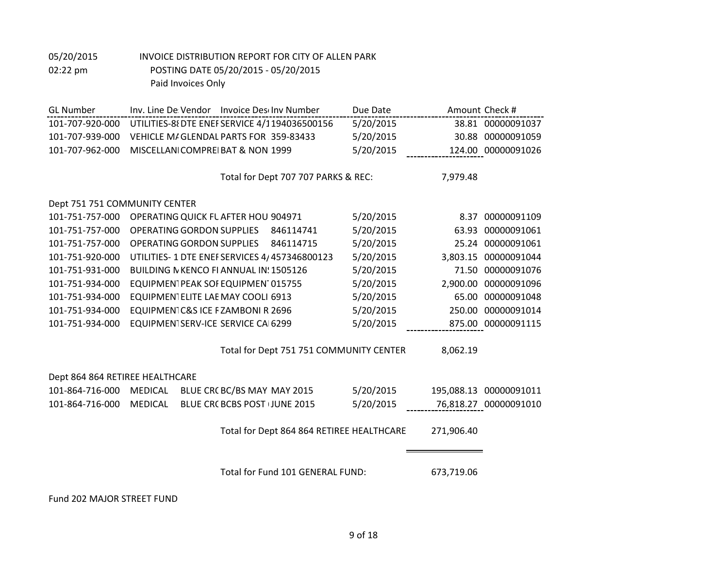| <b>GL Number</b>                | Inv. Line De Vendor Invoice Deschov Number      | Due Date  | Amount Check #         |
|---------------------------------|-------------------------------------------------|-----------|------------------------|
| 101-707-920-000                 | UTILITIES-88 DTE ENEF SERVICE 4/1194036500156   | 5/20/2015 | 38.81 00000091037      |
| 101-707-939-000                 | VEHICLE M/GLENDAL PARTS FOR 359-83433           | 5/20/2015 | 30.88 00000091059      |
| 101-707-962-000                 | MISCELLANICOMPREIBAT & NON 1999                 | 5/20/2015 | 124.00 00000091026     |
|                                 |                                                 |           |                        |
|                                 | Total for Dept 707 707 PARKS & REC:             |           | 7,979.48               |
|                                 |                                                 |           |                        |
| Dept 751 751 COMMUNITY CENTER   |                                                 |           |                        |
| 101-751-757-000                 | OPERATING QUICK FL AFTER HOU 904971             | 5/20/2015 | 8.37 00000091109       |
| 101-751-757-000                 | OPERATING GORDON SUPPLIES<br>846114741          | 5/20/2015 | 00000091061<br>63.93   |
| 101-751-757-000                 | <b>OPERATING GORDON SUPPLIES</b><br>846114715   | 5/20/2015 | 25.24 00000091061      |
| 101-751-920-000                 | UTILITIES- 1 DTE ENEF SERVICES 4/457346800123   | 5/20/2015 | 3,803.15 00000091044   |
| 101-751-931-000                 | BUILDING N KENCO FI ANNUAL IN: 1505126          | 5/20/2015 | 71.50 00000091076      |
| 101-751-934-000                 | EQUIPMENTPEAK SOF EQUIPMENT015755               | 5/20/2015 | 2,900.00 00000091096   |
| 101-751-934-000                 | EQUIPMENTELITE LAE MAY COOLI 6913               | 5/20/2015 | 65.00 00000091048      |
| 101-751-934-000                 | EQUIPMENTC&S ICE FZAMBONI R 2696                | 5/20/2015 | 250.00 00000091014     |
| 101-751-934-000                 | EQUIPMENTSERV-ICE SERVICE CAI6299               | 5/20/2015 | 875.00 00000091115     |
|                                 |                                                 |           |                        |
|                                 | Total for Dept 751 751 COMMUNITY CENTER         |           | 8,062.19               |
|                                 |                                                 |           |                        |
| Dept 864 864 RETIREE HEALTHCARE |                                                 |           |                        |
| 101-864-716-000                 | <b>MEDICAL</b><br>BLUE CRC BC/BS MAY MAY 2015   | 5/20/2015 | 195,088.13 00000091011 |
| 101-864-716-000                 | <b>MEDICAL</b><br>BLUE CRC BCBS POST (JUNE 2015 | 5/20/2015 | 76,818.27 00000091010  |
|                                 |                                                 |           |                        |
|                                 | Total for Dept 864 864 RETIREE HEALTHCARE       |           | 271,906.40             |
|                                 |                                                 |           |                        |
|                                 |                                                 |           |                        |
|                                 | Total for Fund 101 GENERAL FUND:                |           | 673,719.06             |
|                                 |                                                 |           |                        |

Fund 202 MAJOR STREET FUND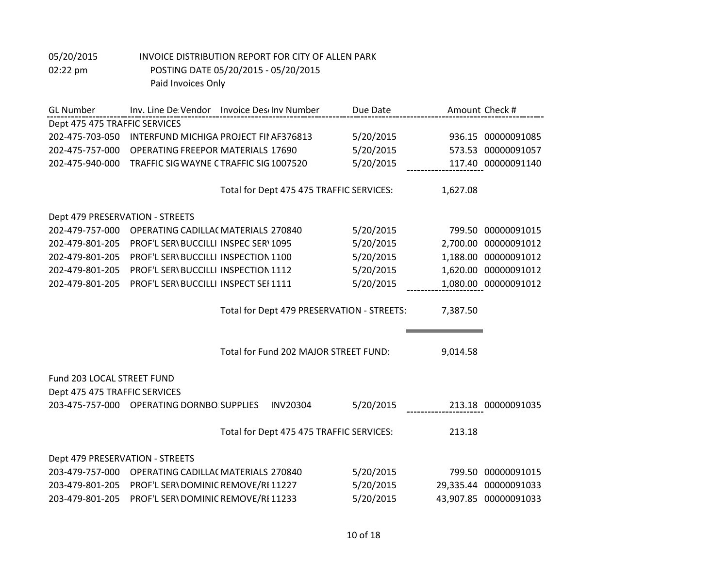| <b>GL Number</b>                | Inv. Line De Vendor Invoice Des Inv Number |                                            | Due Date  |          | Amount Check #        |
|---------------------------------|--------------------------------------------|--------------------------------------------|-----------|----------|-----------------------|
| Dept 475 475 TRAFFIC SERVICES   |                                            |                                            |           |          |                       |
| 202-475-703-050                 | INTERFUND MICHIGA PROJECT FII AF376813     |                                            | 5/20/2015 |          | 936.15 00000091085    |
| 202-475-757-000                 | <b>OPERATING FREEPOR MATERIALS 17690</b>   |                                            | 5/20/2015 |          | 573.53 00000091057    |
| 202-475-940-000                 | TRAFFIC SIG WAYNE CTRAFFIC SIG 1007520     |                                            | 5/20/2015 |          | 117.40 00000091140    |
|                                 |                                            |                                            |           |          |                       |
|                                 |                                            | Total for Dept 475 475 TRAFFIC SERVICES:   |           | 1,627.08 |                       |
|                                 |                                            |                                            |           |          |                       |
| Dept 479 PRESERVATION - STREETS |                                            |                                            |           |          |                       |
| 202-479-757-000                 | OPERATING CADILLA( MATERIALS 270840        |                                            | 5/20/2015 |          | 799.50 00000091015    |
| 202-479-801-205                 | PROF'L SERVBUCCILLI INSPEC SERV1095        |                                            | 5/20/2015 |          | 2,700.00 00000091012  |
| 202-479-801-205                 | PROF'L SERVBUCCILLI INSPECTION 1100        |                                            | 5/20/2015 |          | 1,188.00 00000091012  |
| 202-479-801-205                 | PROF'L SERVBUCCILLI INSPECTION 1112        |                                            | 5/20/2015 |          | 1,620.00 00000091012  |
| 202-479-801-205                 | PROF'L SERVBUCCILLI INSPECT SEI 1111       |                                            | 5/20/2015 |          | 1,080.00 00000091012  |
|                                 |                                            | Total for Dept 479 PRESERVATION - STREETS: |           | 7,387.50 |                       |
|                                 |                                            |                                            |           |          |                       |
|                                 |                                            |                                            |           |          |                       |
|                                 |                                            | Total for Fund 202 MAJOR STREET FUND:      |           | 9,014.58 |                       |
|                                 |                                            |                                            |           |          |                       |
| Fund 203 LOCAL STREET FUND      |                                            |                                            |           |          |                       |
| Dept 475 475 TRAFFIC SERVICES   |                                            |                                            |           |          |                       |
|                                 | 203-475-757-000 OPERATING DORNBO: SUPPLIES | <b>INV20304</b>                            | 5/20/2015 |          | 213.18 00000091035    |
|                                 |                                            |                                            |           |          |                       |
|                                 |                                            | Total for Dept 475 475 TRAFFIC SERVICES:   |           | 213.18   |                       |
|                                 |                                            |                                            |           |          |                       |
| Dept 479 PRESERVATION - STREETS |                                            |                                            |           |          |                       |
| 203-479-757-000                 | OPERATING CADILLAC MATERIALS 270840        |                                            | 5/20/2015 |          | 799.50 00000091015    |
| 203-479-801-205                 | PROF'L SER\ DOMINIC REMOVE/RI 11227        |                                            | 5/20/2015 |          | 29,335.44 00000091033 |
| 203-479-801-205                 | PROF'L SER\DOMINIC REMOVE/RI 11233         |                                            | 5/20/2015 |          | 43,907.85 00000091033 |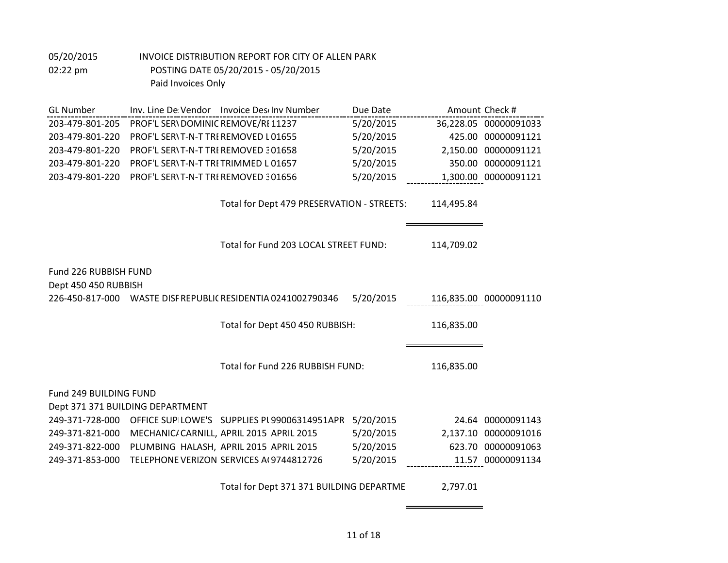| <b>GL Number</b>       |                                     | Inv. Line De Vendor Invoice Deschow Number                   | Due Date  |            | Amount Check #         |
|------------------------|-------------------------------------|--------------------------------------------------------------|-----------|------------|------------------------|
| 203-479-801-205        | PROF'L SER\DOMINIC REMOVE/RI 11237  |                                                              | 5/20/2015 |            | 36,228.05 00000091033  |
| 203-479-801-220        | PROF'L SER\T-N-T TRE REMOVED L01655 |                                                              | 5/20/2015 |            | 425.00 00000091121     |
| 203-479-801-220        | PROF'L SERVT-N-T TRE REMOVED 301658 |                                                              | 5/20/2015 |            | 2,150.00 00000091121   |
| 203-479-801-220        | PROF'L SERVT-N-T TRETRIMMED L01657  |                                                              | 5/20/2015 |            | 350.00 00000091121     |
| 203-479-801-220        | PROF'L SERVT-N-T TRE REMOVED 301656 |                                                              | 5/20/2015 |            | 1,300.00 00000091121   |
|                        |                                     |                                                              |           |            |                        |
|                        |                                     | Total for Dept 479 PRESERVATION - STREETS:                   |           | 114,495.84 |                        |
|                        |                                     |                                                              |           |            |                        |
|                        |                                     |                                                              |           |            |                        |
|                        |                                     | Total for Fund 203 LOCAL STREET FUND:                        |           | 114,709.02 |                        |
|                        |                                     |                                                              |           |            |                        |
| Fund 226 RUBBISH FUND  |                                     |                                                              |           |            |                        |
| Dept 450 450 RUBBISH   |                                     |                                                              |           |            |                        |
|                        |                                     | 226-450-817-000 WASTE DISF REPUBLIC RESIDENTIA 0241002790346 | 5/20/2015 |            | 116,835.00 00000091110 |
|                        |                                     |                                                              |           |            |                        |
|                        |                                     | Total for Dept 450 450 RUBBISH:                              |           | 116,835.00 |                        |
|                        |                                     |                                                              |           |            |                        |
|                        |                                     |                                                              |           |            |                        |
|                        |                                     | Total for Fund 226 RUBBISH FUND:                             |           | 116,835.00 |                        |
| Fund 249 BUILDING FUND |                                     |                                                              |           |            |                        |
|                        | Dept 371 371 BUILDING DEPARTMENT    |                                                              |           |            |                        |
| 249-371-728-000        |                                     | OFFICE SUPILOWE'S SUPPLIES PL99006314951APR                  | 5/20/2015 |            | 24.64 00000091143      |
| 249-371-821-000        |                                     | MECHANIC/ CARNILL, APRIL 2015 APRIL 2015                     | 5/20/2015 |            | 2,137.10 00000091016   |
| 249-371-822-000        |                                     | PLUMBING HALASH, APRIL 2015 APRIL 2015                       | 5/20/2015 |            | 623.70 00000091063     |
| 249-371-853-000        |                                     | TELEPHONE VERIZON SERVICES A(9744812726                      | 5/20/2015 |            | 11.57 00000091134      |
|                        |                                     |                                                              |           |            |                        |
|                        |                                     |                                                              |           |            |                        |

Total for Dept 371 371 BUILDING DEPARTME 2,797.01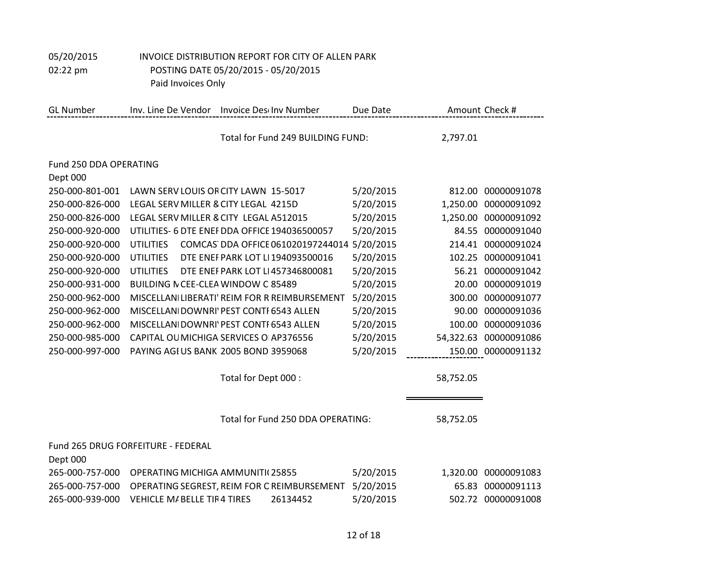# 05/20/2015 INVOICE DISTRIBUTION REPORT FOR CITY OF ALLEN PARK 02:22 pm POSTING DATE 05/20/2015 - 05/20/2015

Paid Invoices Only

| <b>GL Number</b>       | Inv. Line De Vendor                           |                      | Invoice Descinv Number            | Due Date  |           | Amount Check #        |
|------------------------|-----------------------------------------------|----------------------|-----------------------------------|-----------|-----------|-----------------------|
|                        |                                               |                      | Total for Fund 249 BUILDING FUND: |           | 2,797.01  |                       |
| Fund 250 DDA OPERATING |                                               |                      |                                   |           |           |                       |
| Dept 000               |                                               |                      |                                   |           |           |                       |
| 250-000-801-001        | LAWN SERV LOUIS OR CITY LAWN 15-5017          |                      |                                   | 5/20/2015 | 812.00    | 00000091078           |
| 250-000-826-000        | LEGAL SERV MILLER & CITY LEGAL 4215D          |                      |                                   | 5/20/2015 | 1,250.00  | 00000091092           |
| 250-000-826-000        | LEGAL SERV MILLER & CITY LEGAL A512015        |                      |                                   | 5/20/2015 |           | 1,250.00 00000091092  |
| 250-000-920-000        | UTILITIES- 6 DTE ENEF DDA OFFICE 194036500057 |                      |                                   | 5/20/2015 |           | 84.55 00000091040     |
| 250-000-920-000        | <b>UTILITIES</b>                              |                      | COMCAS DDA OFFICE 061020197244014 | 5/20/2015 | 214.41    | 00000091024           |
| 250-000-920-000        | <b>UTILITIES</b>                              |                      | DTE ENEFPARK LOT LI 194093500016  | 5/20/2015 | 102.25    | 00000091041           |
| 250-000-920-000        | <b>UTILITIES</b>                              |                      | DTE ENEF PARK LOT LI 457346800081 | 5/20/2015 | 56.21     | 00000091042           |
| 250-000-931-000        | BUILDING N CEE-CLEA WINDOW C 85489            |                      |                                   | 5/20/2015 | 20.00     | 00000091019           |
| 250-000-962-000        | MISCELLANILIBERATI' REIM FOR R REIMBURSEMENT  |                      |                                   | 5/20/2015 | 300.00    | 00000091077           |
| 250-000-962-000        | MISCELLANI DOWNRI' PEST CONTI 6543 ALLEN      |                      |                                   | 5/20/2015 | 90.00     | 00000091036           |
| 250-000-962-000        | MISCELLANI DOWNRI' PEST CONTI 6543 ALLEN      |                      |                                   | 5/20/2015 | 100.00    | 00000091036           |
| 250-000-985-000        | CAPITAL OU MICHIGA SERVICES OI AP376556       |                      |                                   | 5/20/2015 |           | 54,322.63 00000091086 |
| 250-000-997-000        | PAYING AGIUS BANK 2005 BOND 3959068           |                      |                                   | 5/20/2015 |           | 150.00 00000091132    |
|                        |                                               |                      |                                   |           |           |                       |
|                        |                                               | Total for Dept 000 : |                                   |           | 58,752.05 |                       |
|                        |                                               |                      |                                   |           |           |                       |
|                        |                                               |                      |                                   |           |           |                       |
|                        |                                               |                      | Total for Fund 250 DDA OPERATING: |           | 58,752.05 |                       |
|                        |                                               |                      |                                   |           |           |                       |
|                        | Fund 265 DRUG FORFEITURE - FEDERAL            |                      |                                   |           |           |                       |
| Dept 000               |                                               |                      |                                   |           |           |                       |
| 265-000-757-000        | OPERATING MICHIGA AMMUNITI(25855              |                      |                                   | 5/20/2015 | 1,320.00  | 00000091083           |
| 265-000-757-000        | OPERATING SEGREST, REIM FOR C REIMBURSEMENT   |                      |                                   | 5/20/2015 | 65.83     | 00000091113           |
| 265-000-939-000        | <b>VEHICLE M/ BELLE TIR4 TIRES</b>            |                      | 26134452                          | 5/20/2015 |           | 502.72 00000091008    |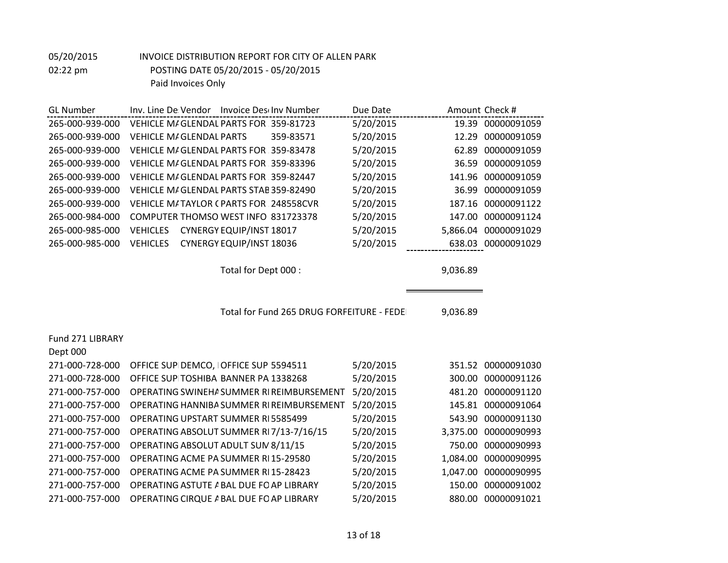| <b>GL</b> Number | Inv. Line De Vendor Invoice Deschow Number  | Due Date  | Amount Check #          |
|------------------|---------------------------------------------|-----------|-------------------------|
| 265-000-939-000  | VEHICLE M/GLENDAL PARTS FOR 359-81723       | 5/20/2015 | 19.39 00000091059       |
| 265-000-939-000  | 359-83571<br><b>VEHICLE M/GLENDAL PARTS</b> | 5/20/2015 | 12.29 00000091059       |
| 265-000-939-000  | VEHICLE M/GLENDAL PARTS FOR 359-83478       | 5/20/2015 | 62.89 00000091059       |
| 265-000-939-000  | VEHICLE M/GLENDAL PARTS FOR 359-83396       | 5/20/2015 | 36.59 00000091059       |
| 265-000-939-000  | VEHICLE M/GLENDAL PARTS FOR 359-82447       | 5/20/2015 | 141.96 00000091059      |
| 265-000-939-000  | VEHICLE M/GLENDAL PARTS STAB 359-82490      | 5/20/2015 | 36.99 00000091059       |
| 265-000-939-000  | VEHICLE M/TAYLOR CPARTS FOR 248558CVR       | 5/20/2015 | 187.16 00000091122      |
| 265-000-984-000  | COMPUTER THOMSO WEST INFO 831723378         | 5/20/2015 | 147.00 00000091124      |
| 265-000-985-000  | CYNERGY EQUIP/INST 18017<br><b>VEHICLES</b> | 5/20/2015 | 00000091029<br>5.866.04 |
| 265-000-985-000  | CYNERGY EQUIP/INST 18036<br><b>VEHICLES</b> | 5/20/2015 | 638.03 00000091029      |
|                  |                                             |           |                         |
|                  |                                             |           |                         |

Total for Dept 000 : 9,036.89

Total for Fund 265 DRUG FORFEITURE - FEDE 9,036.89

Fund 271 LIBRARY

Dept 000

| 271-000-728-000 | OFFICE SUPIDEMCO, IOFFICE SUP 5594511     | 5/20/2015 | 351.52 00000091030    |
|-----------------|-------------------------------------------|-----------|-----------------------|
| 271-000-728-000 | OFFICE SUPITOSHIBA BANNER PA 1338268      | 5/20/2015 | 300.00 00000091126    |
| 271-000-757-000 | OPERATING SWINEHA SUMMER RI REIMBURSEMENT | 5/20/2015 | 481.20 00000091120    |
| 271-000-757-000 | OPERATING HANNIBA SUMMER RI REIMBURSEMENT | 5/20/2015 | 145.81 00000091064    |
| 271-000-757-000 | <b>OPERATING UPSTART SUMMER RI5585499</b> | 5/20/2015 | 543.90 00000091130    |
| 271-000-757-000 | OPERATING ABSOLUT SUMMER RI7/13-7/16/15   | 5/20/2015 | 3,375.00 00000090993  |
| 271-000-757-000 | OPERATING ABSOLUT ADULT SUM 8/11/15       | 5/20/2015 | 750.00 00000090993    |
| 271-000-757-000 | OPERATING ACME PA SUMMER RI 15-29580      | 5/20/2015 | 1,084.00 00000090995  |
| 271-000-757-000 | OPERATING ACME PA SUMMER RI 15-28423      | 5/20/2015 | 1,047.00 00000090995  |
| 271-000-757-000 | OPERATING ASTUTE A BAL DUE FO AP LIBRARY  | 5/20/2015 | 00000091002<br>150.00 |
| 271-000-757-000 | OPERATING CIRQUE A BAL DUE FO AP LIBRARY  | 5/20/2015 | 00000091021<br>880.00 |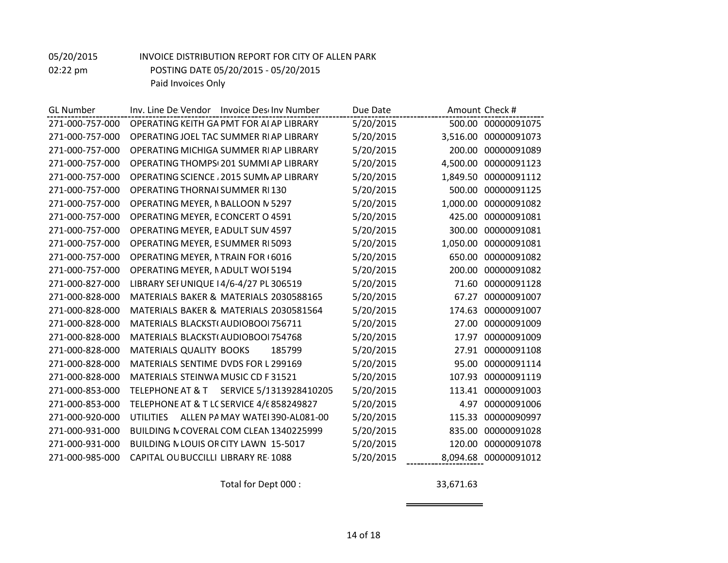| <b>GL Number</b> | Inv. Line De Vendor Invoice Deschov Number          | Due Date  | Amount Check #          |
|------------------|-----------------------------------------------------|-----------|-------------------------|
| 271-000-757-000  | OPERATING KEITH GA PMT FOR AI AP LIBRARY            | 5/20/2015 | 500.00 00000091075      |
| 271-000-757-000  | OPERATING JOEL TAC SUMMER RIAP LIBRARY              | 5/20/2015 | 3,516.00<br>00000091073 |
| 271-000-757-000  | OPERATING MICHIGA SUMMER RIAP LIBRARY               | 5/20/2015 | 200.00<br>00000091089   |
| 271-000-757-000  | OPERATING THOMPS(201 SUMMI AP LIBRARY               | 5/20/2015 | 00000091123<br>4,500.00 |
| 271-000-757-000  | OPERATING SCIENCE, 2015 SUMN AP LIBRARY             | 5/20/2015 | 1,849.50 00000091112    |
| 271-000-757-000  | <b>OPERATING THORNAI SUMMER RI130</b>               | 5/20/2015 | 00000091125<br>500.00   |
| 271-000-757-000  | OPERATING MEYER, NBALLOON N 5297                    | 5/20/2015 | 1,000.00<br>00000091082 |
| 271-000-757-000  | OPERATING MEYER, ECONCERT O 4591                    | 5/20/2015 | 425.00<br>00000091081   |
| 271-000-757-000  | OPERATING MEYER, EADULT SUM 4597                    | 5/20/2015 | 00000091081<br>300.00   |
| 271-000-757-000  | OPERATING MEYER, ESUMMER RI5093                     | 5/20/2015 | 00000091081<br>1,050.00 |
| 271-000-757-000  | OPERATING MEYER, NTRAIN FOR 16016                   | 5/20/2015 | 650.00<br>00000091082   |
| 271-000-757-000  | OPERATING MEYER, NADULT WOI 5194                    | 5/20/2015 | 200.00<br>00000091082   |
| 271-000-827-000  | LIBRARY SEI UNIQUE 14/6-4/27 PL 306519              | 5/20/2015 | 00000091128<br>71.60    |
| 271-000-828-000  | MATERIALS BAKER & MATERIALS 2030588165              | 5/20/2015 | 00000091007<br>67.27    |
| 271-000-828-000  | MATERIALS BAKER & MATERIALS 2030581564              | 5/20/2015 | 174.63<br>00000091007   |
| 271-000-828-000  | MATERIALS BLACKST(AUDIOBOOI 756711                  | 5/20/2015 | 27.00<br>00000091009    |
| 271-000-828-000  | MATERIALS BLACKST(AUDIOBOOI 754768                  | 5/20/2015 | 00000091009<br>17.97    |
| 271-000-828-000  | <b>MATERIALS QUALITY BOOKS</b><br>185799            | 5/20/2015 | 27.91 00000091108       |
| 271-000-828-000  | MATERIALS SENTIME DVDS FOR L 299169                 | 5/20/2015 | 00000091114<br>95.00    |
| 271-000-828-000  | MATERIALS STEINWA MUSIC CD F 31521                  | 5/20/2015 | 107.93<br>00000091119   |
| 271-000-853-000  | TELEPHONE AT & T SERVICE 5/1313928410205            | 5/20/2015 | 00000091003<br>113.41   |
| 271-000-853-000  | TELEPHONE AT & T LC SERVICE 4/6 858249827           | 5/20/2015 | 4.97<br>00000091006     |
| 271-000-920-000  | ALLEN PA MAY WATEI 390-AL081-00<br><b>UTILITIES</b> | 5/20/2015 | 00000090997<br>115.33   |
| 271-000-931-000  | BUILDING N COVERAL COM CLEAN 1340225999             | 5/20/2015 | 835.00<br>00000091028   |
| 271-000-931-000  | BUILDING N LOUIS OR CITY LAWN 15-5017               | 5/20/2015 | 120.00<br>00000091078   |
| 271-000-985-000  | CAPITAL OU BUCCILLI LIBRARY RE-1088                 | 5/20/2015 | 8,094.68 00000091012    |

Total for Dept 000 : 33,671.63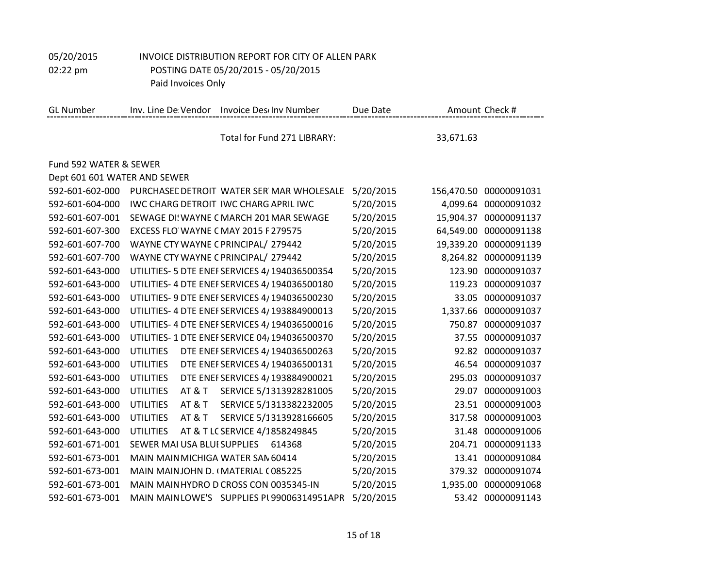05/20/2015 INVOICE DISTRIBUTION REPORT FOR CITY OF ALLEN PARK 02:22 pm POSTING DATE 05/20/2015 - 05/20/2015

Paid Invoices Only

| <b>GL Number</b>             | Inv. Line De Vendor                   | <b>Invoice Descinv Number</b>                 | Due Date  |            | Amount Check #       |
|------------------------------|---------------------------------------|-----------------------------------------------|-----------|------------|----------------------|
|                              |                                       | Total for Fund 271 LIBRARY:                   |           | 33,671.63  |                      |
| Fund 592 WATER & SEWER       |                                       |                                               |           |            |                      |
| Dept 601 601 WATER AND SEWER |                                       |                                               |           |            |                      |
| 592-601-602-000              |                                       | PURCHASEL DETROIT WATER SER MAR WHOLESALE     | 5/20/2015 | 156,470.50 | 00000091031          |
| 592-601-604-000              |                                       | <b>IWC CHARG DETROIT IWC CHARG APRIL IWC</b>  | 5/20/2015 |            | 4,099.64 00000091032 |
| 592-601-607-001              |                                       | SEWAGE DI' WAYNE C MARCH 201 MAR SEWAGE       | 5/20/2015 | 15,904.37  | 00000091137          |
| 592-601-607-300              | EXCESS FLO WAYNE CMAY 2015 F 279575   |                                               | 5/20/2015 | 64,549.00  | 00000091138          |
| 592-601-607-700              | WAYNE CTY WAYNE C PRINCIPAL/ 279442   |                                               | 5/20/2015 | 19,339.20  | 00000091139          |
| 592-601-607-700              | WAYNE CTY WAYNE C PRINCIPAL/ 279442   |                                               | 5/20/2015 |            | 8,264.82 00000091139 |
| 592-601-643-000              |                                       | UTILITIES- 5 DTE ENEF SERVICES 4/194036500354 | 5/20/2015 | 123.90     | 00000091037          |
| 592-601-643-000              |                                       | UTILITIES- 4 DTE ENEF SERVICES 4/194036500180 | 5/20/2015 | 119.23     | 00000091037          |
| 592-601-643-000              |                                       | UTILITIES- 9 DTE ENEF SERVICES 4/194036500230 | 5/20/2015 | 33.05      | 00000091037          |
| 592-601-643-000              |                                       | UTILITIES- 4 DTE ENEF SERVICES 4/193884900013 | 5/20/2015 |            | 1,337.66 00000091037 |
| 592-601-643-000              |                                       | UTILITIES- 4 DTE ENEF SERVICES 4/194036500016 | 5/20/2015 | 750.87     | 00000091037          |
| 592-601-643-000              |                                       | UTILITIES- 1 DTE ENEFSERVICE 04, 194036500370 | 5/20/2015 | 37.55      | 00000091037          |
| 592-601-643-000              | <b>UTILITIES</b>                      | DTE ENEF SERVICES 4/194036500263              | 5/20/2015 | 92.82      | 00000091037          |
| 592-601-643-000              | <b>UTILITIES</b>                      | DTE ENEF SERVICES 4/194036500131              | 5/20/2015 |            | 46.54 00000091037    |
| 592-601-643-000              | <b>UTILITIES</b>                      | DTE ENEF SERVICES 4/193884900021              | 5/20/2015 | 295.03     | 00000091037          |
| 592-601-643-000              | <b>UTILITIES</b><br><b>AT &amp; T</b> | SERVICE 5/1313928281005                       | 5/20/2015 | 29.07      | 00000091003          |
| 592-601-643-000              | <b>UTILITIES</b><br><b>AT &amp; T</b> | SERVICE 5/1313382232005                       | 5/20/2015 | 23.51      | 00000091003          |
| 592-601-643-000              | <b>UTILITIES</b><br><b>AT &amp; T</b> | SERVICE 5/1313928166605                       | 5/20/2015 |            | 317.58 00000091003   |
| 592-601-643-000              | <b>UTILITIES</b>                      | AT & T LC SERVICE 4/1858249845                | 5/20/2015 | 31.48      | 00000091006          |
| 592-601-671-001              | SEWER MAI USA BLUI SUPPLIES 614368    |                                               | 5/20/2015 | 204.71     | 00000091133          |
| 592-601-673-001              | MAIN MAIN MICHIGA WATER SAN 60414     |                                               | 5/20/2015 | 13.41      | 00000091084          |
| 592-601-673-001              | MAIN MAINJOHN D. (MATERIAL C085225    |                                               | 5/20/2015 |            | 379.32 00000091074   |
| 592-601-673-001              |                                       | MAIN MAIN HYDRO D CROSS CON 0035345-IN        | 5/20/2015 | 1,935.00   | 00000091068          |
| 592-601-673-001              |                                       | MAIN MAIN LOWE'S SUPPLIES PL99006314951APR    | 5/20/2015 |            | 53.42 00000091143    |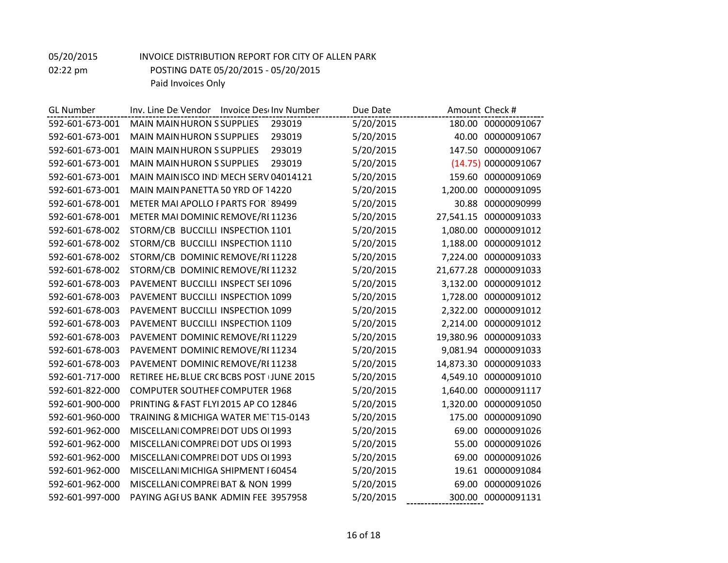| <b>GL Number</b> | Inv. Line De Vendor Invoice Deschov Number  | Due Date  | Amount Check #           |
|------------------|---------------------------------------------|-----------|--------------------------|
| 592-601-673-001  | <b>MAIN MAIN HURON S SUPPLIES</b><br>293019 | 5/20/2015 | 180.00 00000091067       |
| 592-601-673-001  | <b>MAIN MAIN HURON S SUPPLIES</b><br>293019 | 5/20/2015 | 40.00 00000091067        |
| 592-601-673-001  | <b>MAIN MAIN HURON S SUPPLIES</b><br>293019 | 5/20/2015 | 147.50 00000091067       |
| 592-601-673-001  | <b>MAIN MAIN HURON S SUPPLIES</b><br>293019 | 5/20/2015 | (14.75) 00000091067      |
| 592-601-673-001  | MAIN MAIN ISCO INDI MECH SERV 04014121      | 5/20/2015 | 159.60 00000091069       |
| 592-601-673-001  | MAIN MAIN PANETTA 50 YRD OF 14220           | 5/20/2015 | 1,200.00 00000091095     |
| 592-601-678-001  | METER MAI APOLLO I PARTS FOR 89499          | 5/20/2015 | 30.88<br>00000090999     |
| 592-601-678-001  | METER MAI DOMINIC REMOVE/RI 11236           | 5/20/2015 | 27,541.15 00000091033    |
| 592-601-678-002  | STORM/CB BUCCILLI INSPECTION 1101           | 5/20/2015 | 1,080.00<br>00000091012  |
| 592-601-678-002  | STORM/CB BUCCILLI INSPECTION 1110           | 5/20/2015 | 1,188.00<br>00000091012  |
| 592-601-678-002  | STORM/CB DOMINIC REMOVE/RI 11228            | 5/20/2015 | 00000091033<br>7,224.00  |
| 592-601-678-002  | STORM/CB DOMINIC REMOVE/RI 11232            | 5/20/2015 | 21,677.28 00000091033    |
| 592-601-678-003  | PAVEMENT BUCCILLI INSPECT SEI 1096          | 5/20/2015 | 00000091012<br>3,132.00  |
| 592-601-678-003  | PAVEMENT BUCCILLI INSPECTION 1099           | 5/20/2015 | 1,728.00 00000091012     |
| 592-601-678-003  | PAVEMENT BUCCILLI INSPECTION 1099           | 5/20/2015 | 00000091012<br>2,322.00  |
| 592-601-678-003  | PAVEMENT BUCCILLI INSPECTION 1109           | 5/20/2015 | 2,214.00 00000091012     |
| 592-601-678-003  | PAVEMENT DOMINIC REMOVE/RI 11229            | 5/20/2015 | 19,380.96 00000091033    |
| 592-601-678-003  | PAVEMENT DOMINIC REMOVE/RI 11234            | 5/20/2015 | 9,081.94 00000091033     |
| 592-601-678-003  | PAVEMENT DOMINIC REMOVE/RI 11238            | 5/20/2015 | 14,873.30<br>00000091033 |
| 592-601-717-000  | RETIREE HE/BLUE CRC BCBS POST (JUNE 2015    | 5/20/2015 | 4,549.10 00000091010     |
| 592-601-822-000  | <b>COMPUTER SOUTHER COMPUTER 1968</b>       | 5/20/2015 | 00000091117<br>1,640.00  |
| 592-601-900-000  | PRINTING & FAST FLYI 2015 AP CO 12846       | 5/20/2015 | 1,320.00<br>00000091050  |
| 592-601-960-000  | TRAINING & MICHIGA WATER ME1T15-0143        | 5/20/2015 | 00000091090<br>175.00    |
| 592-601-962-000  | MISCELLANICOMPREIDOT UDS OI 1993            | 5/20/2015 | 00000091026<br>69.00     |
| 592-601-962-000  | MISCELLANICOMPREIDOT UDS OI 1993            | 5/20/2015 | 55.00<br>00000091026     |
| 592-601-962-000  | MISCELLANICOMPREIDOT UDS OI 1993            | 5/20/2015 | 00000091026<br>69.00     |
| 592-601-962-000  | MISCELLANI MICHIGA SHIPMENT I 60454         | 5/20/2015 | 00000091084<br>19.61     |
| 592-601-962-000  | MISCELLANICOMPREIBAT & NON 1999             | 5/20/2015 | 69.00 00000091026        |
| 592-601-997-000  | PAYING AGIUS BANK ADMIN FEE 3957958         | 5/20/2015 | 300.00 00000091131       |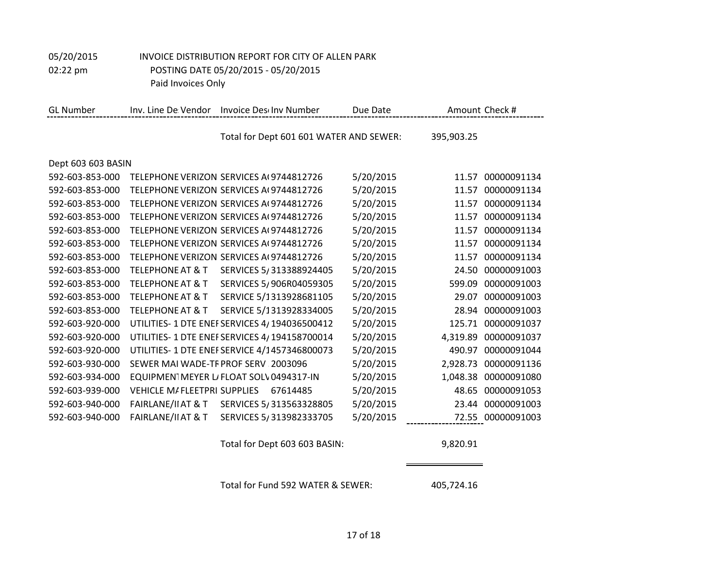| <b>GL Number</b>   | Inv. Line De Vendor                | Invoice Descinv Number                      | Due Date  | Amount Check #          |  |
|--------------------|------------------------------------|---------------------------------------------|-----------|-------------------------|--|
|                    |                                    | Total for Dept 601 601 WATER AND SEWER:     |           | 395,903.25              |  |
| Dept 603 603 BASIN |                                    |                                             |           |                         |  |
| 592-603-853-000    |                                    | TELFPHONE VERIZON SERVICES AL9744812726     | 5/20/2015 | 00000091134<br>11.57    |  |
| 592-603-853-000    |                                    | TELEPHONE VERIZON SERVICES A(9744812726     | 5/20/2015 | 00000091134<br>11.57    |  |
| 592-603-853-000    |                                    | TELEPHONE VERIZON SERVICES A(9744812726     | 5/20/2015 | 00000091134<br>11.57    |  |
| 592-603-853-000    |                                    | TELEPHONE VERIZON SERVICES A(9744812726     | 5/20/2015 | 00000091134<br>11.57    |  |
| 592-603-853-000    |                                    | TELEPHONE VERIZON SERVICES A(9744812726     | 5/20/2015 | 00000091134<br>11.57    |  |
| 592-603-853-000    |                                    | TELEPHONE VERIZON SERVICES A(9744812726     | 5/20/2015 | 00000091134<br>11.57    |  |
| 592-603-853-000    |                                    | TELEPHONE VERIZON SERVICES A(9744812726     | 5/20/2015 | 00000091134<br>11.57    |  |
| 592-603-853-000    | <b>TELEPHONE AT &amp; T</b>        | SERVICES 5/313388924405                     | 5/20/2015 | 00000091003<br>24.50    |  |
| 592-603-853-000    | <b>TELEPHONE AT &amp; T</b>        | SERVICES 5/906R04059305                     | 5/20/2015 | 00000091003<br>599.09   |  |
| 592-603-853-000    | <b>TELEPHONE AT &amp; T</b>        | SERVICE 5/1313928681105                     | 5/20/2015 | 00000091003<br>29.07    |  |
| 592-603-853-000    | <b>TELEPHONE AT &amp; T</b>        | SERVICE 5/1313928334005                     | 5/20/2015 | 00000091003<br>28.94    |  |
| 592-603-920-000    |                                    | UTILITIES-1 DTE ENEFSERVICES 4/194036500412 | 5/20/2015 | 00000091037<br>125.71   |  |
| 592-603-920-000    |                                    | UTILITIES-1 DTE ENEFSERVICES 4/194158700014 | 5/20/2015 | 00000091037<br>4,319.89 |  |
| 592-603-920-000    |                                    | UTILITIES-1 DTE ENEFSERVICE 4/1457346800073 | 5/20/2015 | 490.97<br>00000091044   |  |
| 592-603-930-000    |                                    | SEWER MAI WADE-TF PROF SERV 2003096         | 5/20/2015 | 00000091136<br>2,928.73 |  |
| 592-603-934-000    |                                    | EQUIPMEN1MEYER L/FLOAT SOLV0494317-IN       | 5/20/2015 | 00000091080<br>1,048.38 |  |
| 592-603-939-000    | <b>VEHICLE M/FLEETPRI SUPPLIES</b> | 67614485                                    | 5/20/2015 | 00000091053<br>48.65    |  |
| 592-603-940-000    | <b>FAIRLANE/II AT &amp; T</b>      | SERVICES 5/313563328805                     | 5/20/2015 | 00000091003<br>23.44    |  |
| 592-603-940-000    | FAIRLANE/II AT & T                 | SERVICES 5/313982333705                     | 5/20/2015 | 72.55 00000091003       |  |

Total for Dept 603 603 BASIN: 9,820.91

Total for Fund 592 WATER & SEWER: 405,724.16